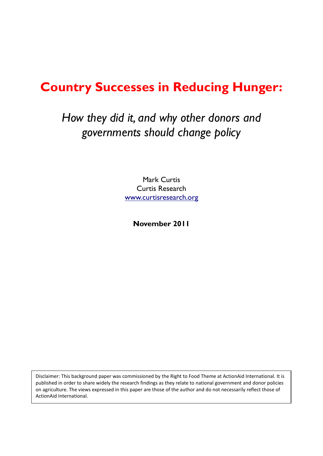# **Country Successes in Reducing Hunger:**

# *How they did it, and why other donors and governments should change policy*

Mark Curtis Curtis Research [www.curtisresearch.org](http://www.curtisresearch.org/)

**November 2011**

Disclaimer: This background paper was commissioned by the Right to Food Theme at ActionAid International. It is published in order to share widely the research findings as they relate to national government and donor policies on agriculture. The views expressed in this paper are those of the author and do not necessarily reflect those of ActionAid International.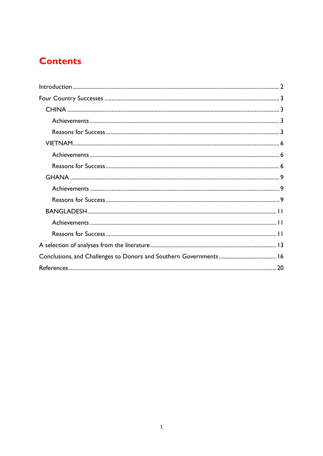## **Contents**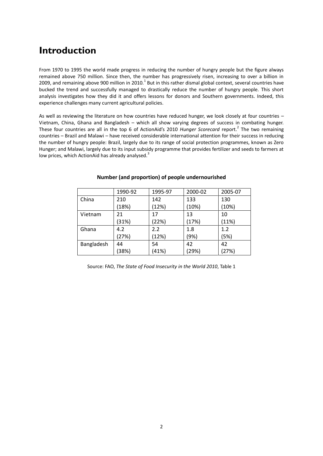## <span id="page-2-0"></span>**Introduction**

From 1970 to 1995 the world made progress in reducing the number of hungry people but the figure always remained above 750 million. Since then, the number has progressively risen, increasing to over a billion in 2009, and remaining above 900 million in 2010. $^1$  But in this rather dismal global context, several countries have bucked the trend and successfully managed to drastically reduce the number of hungry people. This short analysis investigates how they did it and offers lessons for donors and Southern governments. Indeed, this experience challenges many current agricultural policies.

As well as reviewing the literature on how countries have reduced hunger, we look closely at four countries – Vietnam, China, Ghana and Bangladesh – which all show varying degrees of success in combating hunger. These four countries are all in the top 6 of ActionAid's 2010 Hunger Scorecard report.<sup>2</sup> The two remaining countries – Brazil and Malawi – have received considerable international attention for their success in reducing the number of hungry people: Brazil, largely due to its range of social protection programmes, known as Zero Hunger; and Malawi, largely due to its input subsidy programme that provides fertilizer and seeds to farmers at low prices, which ActionAid has already analysed.<sup>3</sup>

|            | 1990-92 | 1995-97 | 2000-02 | 2005-07 |
|------------|---------|---------|---------|---------|
| China      | 210     | 142     | 133     | 130     |
|            | (18%)   | (12%)   | (10%)   | (10%)   |
| Vietnam    | 21      | 17      | 13      | 10      |
|            | (31%)   | (22%)   | (17%)   | (11%)   |
| Ghana      | 4.2     | 2.2     | 1.8     | 1.2     |
|            | (27%)   | (12%)   | (9%)    | (5%)    |
| Bangladesh | 44      | 54      | 42      | 42      |
|            | (38%)   | (41%)   | (29%)   | (27%)   |

#### **Number (and proportion) of people undernourished**

Source: FAO, *The State of Food Insecurity in the World 2010*, Table 1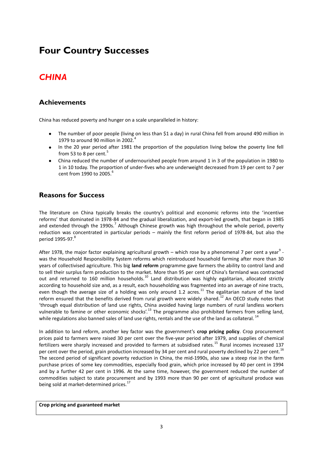## <span id="page-3-0"></span>**Four Country Successes**

## <span id="page-3-1"></span>*CHINA*

#### <span id="page-3-2"></span>**Achievements**

China has reduced poverty and hunger on a scale unparalleled in history:

- The number of poor people (living on less than \$1 a day) in rural China fell from around 490 million in  $\bullet$ 1979 to around 90 million in 2002. $4$
- $\bullet$ In the 20 year period after 1981 the proportion of the population living below the poverty line fell from 53 to 8 per cent.<sup>5</sup>
- China reduced the number of undernourished people from around 1 in 3 of the population in 1980 to  $\bullet$ 1 in 10 today. The proportion of under-fives who are underweight decreased from 19 per cent to 7 per cent from 1990 to 2005.<sup>6</sup>

### <span id="page-3-3"></span>**Reasons for Success**

The literature on China typically breaks the country's political and economic reforms into the 'incentive reforms' that dominated in 1978-84 and the gradual liberalization, and export-led growth, that began in 1985 and extended through the 1990s.<sup>7</sup> Although Chinese growth was high throughout the whole period, poverty reduction was concentrated in particular periods – mainly the first reform period of 1978-84, but also the period 1995-97.<sup>8</sup>

After 1978, the major factor explaining agricultural growth – which rose by a phenomenal 7 per cent a year $^9$  was the Household Responsibility System reforms which reintroduced household farming after more than 30 years of collectivised agriculture. This big **land reform** programme gave farmers the ability to control land and to sell their surplus farm production to the market. More than 95 per cent of China's farmland was contracted out and returned to 160 million households.<sup>10</sup> Land distribution was highly egalitarian, allocated strictly according to household size and, as a result, each householding was fragmented into an average of nine tracts, even though the average size of a holding was only around 1.2 acres.<sup>11</sup> The egalitarian nature of the land reform ensured that the benefits derived from rural growth were widely shared.<sup>12</sup> An OECD study notes that 'through equal distribution of land use rights, China avoided having large numbers of rural landless workers vulnerable to famine or other economic shocks'.<sup>13</sup> The programme also prohibited farmers from selling land, while regulations also banned sales of land use rights, rentals and the use of the land as collateral. <sup>14</sup>

In addition to land reform, another key factor was the government's **crop pricing policy**. Crop procurement prices paid to farmers were raised 30 per cent over the five-year period after 1979, and supplies of chemical fertilizers were sharply increased and provided to farmers at subsidised rates.<sup>15</sup> Rural incomes increased 137 per cent over the period, grain production increased by 34 per cent and rural poverty declined by 22 per cent.<sup>16</sup> The second period of significant poverty reduction in China, the mid-1990s, also saw a steep rise in the farm purchase prices of some key commodities, especially food grain, which price increased by 40 per cent in 1994 and by a further 42 per cent in 1996. At the same time, however, the government reduced the number of commodities subject to state procurement and by 1993 more than 90 per cent of agricultural produce was being sold at market-determined prices.<sup>17</sup>

#### **Crop pricing and guaranteed market**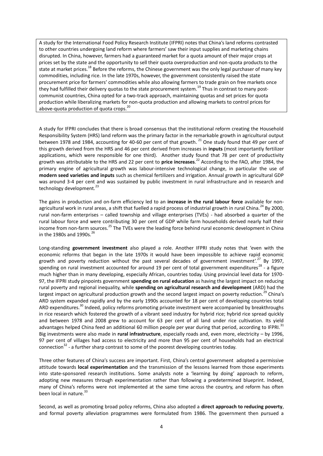A study for the International Food Policy Research Institute (IFPRI) notes that China's land reforms contrasted to other countries undergoing land reform where farmers' saw their input supplies and marketing chains disrupted. In China, however, farmers had a guaranteed market for a quota amount of their major crops at prices set by the state and the opportunity to sell their quota overproduction and non-quota products to the state at market prices.<sup>18</sup> Before the reforms, the Chinese government was the only legal purchaser of many key commodities, including rice. In the late 1970s, however, the government consistently raised the state procurement price for farmers' commodities while also allowing farmers to trade grain on free markets once they had fulfilled their delivery quotas to the state procurement system.<sup>19</sup> Thus in contrast to many postcommunist countries, China opted for a two-track approach, maintaining quotas and set prices for quota production while liberalizing markets for non-quota production and allowing markets to control prices for above-quota production of quota crops.<sup>20</sup>

A study for IFPRI concludes that there is broad consensus that the institutional reform creating the Household Responsibility System (HRS) land reform was the primary factor in the remarkable growth in agricultural output between 1978 and 1984, accounting for 40-60 per cent of that growth.<sup>21</sup> One study found that 49 per cent of this growth derived from the HRS and 46 per cent derived from increases in **inputs** (most importantly fertilizer applications, which were responsible for one third). Another study found that 78 per cent of productivity growth was attributable to the HRS and 22 per cent to **price increases**. <sup>22</sup> According to the FAO, after 1984, the primary engine of agricultural growth was labour-intensive technological change, in particular the use of **modern seed varieties and inputs** such as chemical fertilizers and irrigation. Annual growth in agricultural GDP was around 3-4 per cent and was sustained by public investment in rural infrastructure and in research and technology development.<sup>23</sup>

The gains in production and on-farm efficiency led to an **increase in the rural labour force** available for nonagricultural work in rural areas, a shift that fuelled a rapid process of industrial growth in rural China.<sup>24</sup> By 2000, rural non-farm enterprises – called township and village enterprises (TVEs) - had absorbed a quarter of the rural labour force and were contributing 30 per cent of GDP while farm households derived nearly half their income from non-farm sources.<sup>25</sup> The TVEs were the leading force behind rural economic development in China in the 1980s and 1990s. $^{26}$ 

Long-standing **government investment** also played a role. Another IFPRI study notes that 'even with the economic reforms that began in the late 1970s it would have been impossible to achieve rapid economic growth and poverty reduction without the past several decades of government investment'.<sup>27</sup> By 1997, spending on rural investment accounted for around 19 per cent of total government expenditures<sup>28</sup> - a figure much higher than in many developing, especially African, countries today. Using provincial level data for 1970- 97, the IFPRI study pinpoints government **spending on rural education** as having the largest impact on reducing rural poverty and regional inequality, while **spending on agricultural research and development** (ARD) had the largest impact on agricultural production growth and the second largest impact on poverty reduction.<sup>29</sup> China's ARD system expanded rapidly and by the early 1990s accounted for 18 per cent of developing countries total ARD expenditures.<sup>30</sup> Indeed, policy reforms promoting private investment were accompanied by breakthroughs in rice research which fostered the growth of a vibrant seed industry for hybrid rice; hybrid rice spread quickly and between 1978 and 2008 grew to account for 63 per cent of all land under rice cultivation. Its yield advantages helped China feed an additional 60 million people per year during that period, according to IFPRI.<sup>31</sup> Big investments were also made in **rural infrastructure**, especially roads and, even more, electricity – by 1996, 97 per cent of villages had access to electricity and more than 95 per cent of households had an electrical connection<sup>32</sup> - a further sharp contrast to some of the poorest developing countries today.

Three other features of China's success are important. First, China's central government adopted a permissive attitude towards **local experimentation** and the transmission of the lessons learned from those experiments into state-sponsored research institutions. Some analysts note a 'learning by doing' approach to reform, adopting new measures through experimentation rather than following a predetermined blueprint. Indeed, many of China's reforms were not implemented at the same time across the country, and reform has often been local in nature.<sup>33</sup>

Second, as well as promoting broad policy reforms, China also adopted a **direct approach to reducing poverty**, and formal poverty alleviation programmes were formulated from 1986. The government then pursued a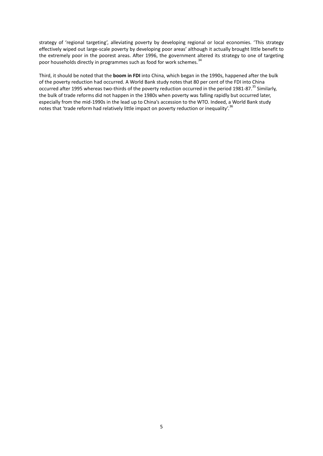strategy of 'regional targeting', alleviating poverty by developing regional or local economies. 'This strategy effectively wiped out large-scale poverty by developing poor areas' although it actually brought little benefit to the extremely poor in the poorest areas. After 1996, the government altered its strategy to one of targeting poor households directly in programmes such as food for work schemes.<sup>34</sup>

Third, it should be noted that the **boom in FDI** into China, which began in the 1990s, happened after the bulk of the poverty reduction had occurred. A World Bank study notes that 80 per cent of the FDI into China occurred after 1995 whereas two-thirds of the poverty reduction occurred in the period 1981-87.<sup>35</sup> Similarly, the bulk of trade reforms did not happen in the 1980s when poverty was falling rapidly but occurred later, especially from the mid-1990s in the lead up to China's accession to the WTO. Indeed, a World Bank study notes that 'trade reform had relatively little impact on poverty reduction or inequality'.<sup>36</sup>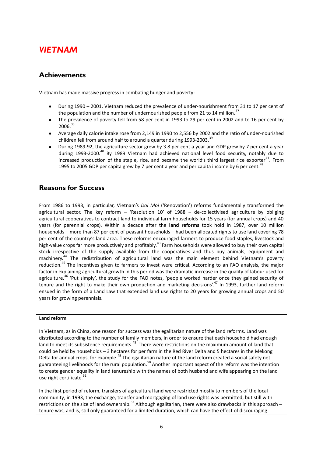### <span id="page-6-0"></span>*VIETNAM*

### <span id="page-6-1"></span>**Achievements**

Vietnam has made massive progress in combating hunger and poverty:

- During 1990 2001, Vietnam reduced the prevalence of under-nourishment from 31 to 17 per cent of the population and the number of undernourished people from 21 to 14 million.<sup>37</sup>
- The prevalence of poverty fell from 58 per cent in 1993 to 29 per cent in 2002 and to 16 per cent by 2006.<sup>38</sup>
- $\bullet$ Average daily calorie intake rose from 2,149 in 1990 to 2,556 by 2002 and the ratio of under-nourished children fell from around half to around a quarter during  $1993-2003$ .
- During 1989-92, the agriculture sector grew by 3.8 per cent a year and GDP grew by 7 per cent a year during 1993-2000.<sup>40</sup> By 1989 Vietnam had achieved national level food security, notably due to increased production of the staple, rice, and became the world's third largest rice exporter $^{41}$ . From 1995 to 2005 GDP per capita grew by 7 per cent a year and per capita income by 6 per cent.<sup>42</sup>

#### <span id="page-6-2"></span>**Reasons for Success**

From 1986 to 1993, in particular, Vietnam's *Doi Moi* ('Renovation') reforms fundamentally transformed the agricultural sector. The key reform  $-$  'Resolution 10' of 1988  $-$  de-collectivised agriculture by obliging agricultural cooperatives to contract land to individual farm households for 15 years (for annual crops) and 40 years (for perennial crops). Within a decade after the **land reforms** took hold in 1987, over 10 million households – more than 87 per cent of peasant households – had been allocated rights to use land covering 78 per cent of the country's land area. These reforms encouraged farmers to produce food staples, livestock and high-value crops far more productively and profitably.<sup>43</sup> Farm households were allowed to buy their own capital stock irrespective of the supply available from the cooperatives and thus buy animals, equipment and machinery.<sup>44</sup> The redistribution of agricultural land was the main element behind Vietnam's poverty reduction.<sup>45</sup> The incentives given to farmers to invest were critical. According to an FAO analysis, the major factor in explaining agricultural growth in this period was the dramatic increase in the quality of labour used for agriculture.<sup>46</sup> 'Put simply', the study for the FAO notes, 'people worked harder once they gained security of tenure and the right to make their own production and marketing decisions'.<sup>47</sup> In 1993, further land reform ensued in the form of a Land Law that extended land use rights to 20 years for growing annual crops and 50 years for growing perennials.

#### **Land reform**

In Vietnam, as in China, one reason for success was the egalitarian nature of the land reforms. Land was distributed according to the number of family members, in order to ensure that each household had enough land to meet its subsistence requirements.<sup>48</sup> There were restrictions on the maximum amount of land that could be held by households – 3 hectares for per farm in the Red River Delta and 5 hectares in the Mekong Delta for annual crops, for example.<sup>49</sup> The egalitarian nature of the land reform created a social safety net guaranteeing livelihoods for the rural population.<sup>50</sup> Another important aspect of the reform was the intention to create gender equality in land tenureship with the names of both husband and wife appearing on the land use right certificate.<sup>51</sup>

In the first period of reform, transfers of agricultural land were restricted mostly to members of the local community; in 1993, the exchange, transfer and mortgaging of land use rights was permitted, but still with restrictions on the size of land ownership.<sup>52</sup> Although egalitarian, there were also drawbacks in this approach – tenure was, and is, still only guaranteed for a limited duration, which can have the effect of discouraging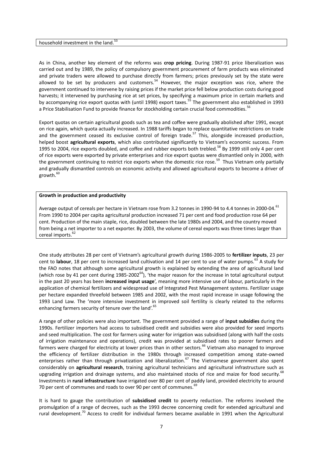#### household investment in the land.<sup>53</sup>

As in China, another key element of the reforms was **crop pricing**. During 1987-91 price liberalization was carried out and by 1989, the policy of compulsory government procurement of farm products was eliminated and private traders were allowed to purchase directly from farmers; prices previously set by the state were allowed to be set by producers and customers.<sup>54</sup> However, the major exception was rice, where the government continued to intervene by raising prices if the market price fell below production costs during good harvests; it intervened by purchasing rice at set prices, by specifying a maximum price in certain markets and by accompanying rice export quotas with (until 1998) export taxes.<sup>55</sup> The government also established in 1993 a Price Stabilisation Fund to provide finance for stockholding certain crucial food commodities.<sup>56</sup>

Export quotas on certain agricultural goods such as tea and coffee were gradually abolished after 1991, except on rice again, which quota actually increased. In 1988 tariffs began to replace quantitative restrictions on trade and the government ceased its exclusive control of foreign trade.<sup>57</sup> This, alongside increased production, helped boost **agricultural exports**, which also contributed significantly to Vietnam's economic success. From 1995 to 2004, rice exports doubled, and coffee and rubber exports both trebled.<sup>58</sup> By 1999 still only 4 per cent of rice exports were exported by private enterprises and rice export quotas were dismantled only in 2000, with the government continuing to restrict rice exports when the domestic rice rose.<sup>59</sup> Thus Vietnam only partially and gradually dismantled controls on economic activity and allowed agricultural exports to become a driver of growth.<sup>60</sup>

#### **Growth in production and productivity**

Average output of cereals per hectare in Vietnam rose from 3.2 tonnes in 1990-94 to 4.4 tonnes in 2000-04.<sup>61</sup> From 1990 to 2004 per capita agricultural production increased 71 per cent and food production rose 64 per cent. Production of the main staple, rice, doubled between the late 1980s and 2004, and the country moved from being a net importer to a net exporter. By 2003, the volume of cereal exports was three times larger than cereal imports.<sup>62</sup>

One study attributes 28 per cent of Vietnam's agricultural growth during 1986-2005 to **fertilizer inputs**, 23 per cent to labour, 18 per cent to increased land cultivation and 14 per cent to use of water pumps.<sup>63</sup> A study for the FAO notes that although some agricultural growth is explained by extending the area of agricultural land (which rose by 41 per cent during  $1985-2002^{64}$ ), 'the major reason for the increase in total agricultural output in the past 20 years has been **increased input usage**', meaning more intensive use of labour, particularly in the application of chemical fertilizers and widespread use of Integrated Pest Management systems. Fertilizer usage per hectare expanded threefold between 1985 and 2002, with the most rapid increase in usage following the 1993 Land Law. The 'more intensive investment in improved soil fertility is clearly related to the reforms enhancing farmers security of tenure over the land'.<sup>65</sup>

A range of other policies were also important. The government provided a range of **input subsidies** during the 1990s. Fertilizer importers had access to subsidised credit and subsidies were also provided for seed imports and seed multiplication. The cost for farmers using water for irrigation was subsidised (along with half the costs of irrigation maintenance and operations), credit was provided at subsidised rates to poorer farmers and farmers were charged for electricity at lower prices than in other sectors.<sup>66</sup> Vietnam also managed to improve the efficiency of fertilizer distribution in the 1980s through increased competition among state-owned enterprises rather than through privatization and liberalization.<sup>67</sup> The Vietnamese government also spent considerably on **agricultural research**, training agricultural technicians and agricultural infrastructure such as upgrading irrigation and drainage systems, and also maintained stocks of rice and maize for food security.<sup>68</sup> Investments in **rural infrastructure** have irrigated over 80 per cent of paddy land, provided electricity to around 70 per cent of communes and roads to over 90 per cent of communes.<sup>69</sup>

It is hard to gauge the contribution of **subsidised credit** to poverty reduction. The reforms involved the promulgation of a range of decrees, such as the 1993 decree concerning credit for extended agricultural and rural development.<sup>70</sup> Access to credit for individual farmers became available in 1991 when the Agricultural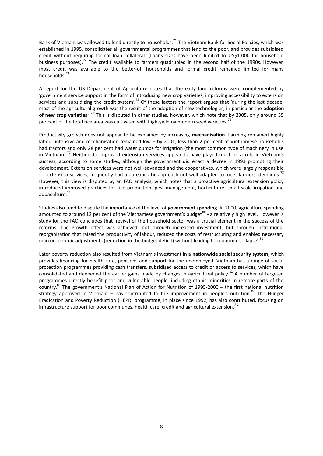Bank of Vietnam was allowed to lend directly to households.<sup>71</sup> The Vietnam Bank for Social Policies, which was established in 1995, consolidates all governmental programmes that lend to the poor, and provides subsidised credit without requiring formal loan collateral. (Loans sizes have been limited to US\$1,000 for household business purposes).<sup>72</sup> The credit available to farmers quadrupled in the second half of the 1990s. However, most credit was available to the better-off households and formal credit remained limited for many households.<sup>73</sup>

A report for the US Department of Agriculture notes that the early land reforms were complemented by 'government service support in the form of introducing new crop varieties, improving accessibility to extension services and subsidizing the credit system'.<sup>74</sup> Of these factors the report argues that 'during the last decade, most of the agricultural growth was the result of the adoption of new technologies, in particular the **adoption of new crop varieties**.' <sup>75</sup> This is disputed in other studies, however, which note that by 2005, only around 35 per cent of the total rice area was cultivated with high-yielding modern seed varieties.<sup>76</sup>

Productivity growth does not appear to be explained by increasing **mechanisation**. Farming remained highly labour-intensive and mechanisation remained low – by 2001, less than 2 per cent of Vietnamese households had tractors and only 28 per cent had water pumps for irrigation (the most common type of machinery in use in Vietnam).<sup>77</sup> Neither do improved **extension services** appear to have played much of a role in Vietnam's success, according to some studies, although the government did enact a decree in 1993 promoting their development. Extension services were not well-advanced and the cooperatives, which were largely responsible for extension services, frequently had a bureaucratic approach not well-adapted to meet farmers' demands.<sup>78</sup> However, this view is disputed by an FAO analysis, which notes that a proactive agricultural extension policy introduced improved practices for rice production, pest management, horticulture, small-scale irrigation and aquaculture.<sup>79</sup>

Studies also tend to dispute the importance of the level of **government spending**. In 2000, agriculture spending amounted to around 12 per cent of the Vietnamese government's budget<sup>80</sup> - a relatively high level. However, a study for the FAO concludes that 'revival of the household sector was a crucial element in the success of the reforms. The growth effect was achieved, not through increased investment, but through institutional reorganisation that raised the productivity of labour, reduced the costs of restructuring and enabled necessary macroeconomic adjustments (reduction in the budget deficit) without leading to economic collapse'.<sup>81</sup>

Later poverty reduction also resulted from Vietnam's investment in a **nationwide social security system**, which provides financing for health care, pensions and support for the unemployed. Vietnam has a range of social protection programmes providing cash transfers, subsidised access to credit or access to services, which have consolidated and deepened the earlier gains made by changes in agricultural policy.<sup>82</sup> A number of targeted programmes directly benefit poor and vulnerable people, including ethnic minorities in remote parts of the country.<sup>83</sup> The government's National Plan of Action for Nutrition of 1995-2000 – the first national nutrition strategy approved in Vietnam – has contributed to the improvement in people's nutrition.<sup>84</sup> The Hunger Eradication and Poverty Reduction (HEPR) programme, in place since 1992, has also contributed, focusing on infrastructure support for poor communes, health care, credit and agricultural extension.<sup>85</sup>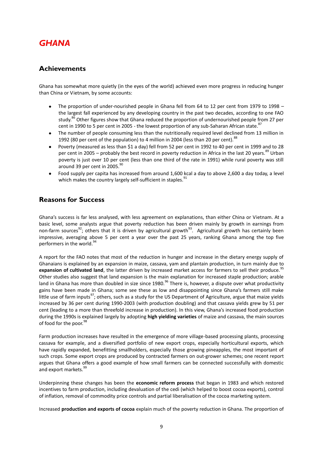### <span id="page-9-0"></span>*GHANA*

#### <span id="page-9-1"></span>**Achievements**

Ghana has somewhat more quietly (in the eyes of the world) achieved even more progress in reducing hunger than China or Vietnam, by some accounts:

- The proportion of under-nourished people in Ghana fell from 64 to 12 per cent from 1979 to 1998  $\bullet$ the largest fall experienced by any developing country in the past two decades, according to one FAO study.<sup>86</sup> Other figures show that Ghana reduced the proportion of undernourished people from 27 per cent in 1990 to 5 per cent in 2005 - the lowest proportion of any sub-Saharan African state.<sup>87</sup>
- The number of people consuming less than the nutritionally required level declined from 13 million in 1992 (80 per cent of the population) to 4 million in 2004 (less than 20 per cent).<sup>88</sup>
- Poverty (measured as less than \$1 a day) fell from 52 per cent in 1992 to 40 per cent in 1999 and to 28  $\bullet$ per cent in 2005 – probably the best record in poverty reduction in Africa in the last 20 years.<sup>89</sup> Urban poverty is just over 10 per cent (less than one third of the rate in 1991) while rural poverty was still around 39 per cent in 2005.<sup>90</sup>
- Food supply per capita has increased from around 1,600 kcal a day to above 2,600 a day today, a level  $\bullet$ which makes the country largely self-sufficient in staples.<sup>91</sup>

#### <span id="page-9-2"></span>**Reasons for Success**

Ghana's success is far less analysed, with less agreement on explanations, than either China or Vietnam. At a basic level, some analysts argue that poverty reduction has been driven mainly by growth in earnings from non-farm sources<sup>92</sup>; others that it is driven by agricultural growth<sup>93</sup>. Agricultural growth has certainly been impressive, averaging above 5 per cent a year over the past 25 years, ranking Ghana among the top five performers in the world.<sup>9</sup>

A report for the FAO notes that most of the reduction in hunger and increase in the dietary energy supply of Ghanaians is explained by an expansion in maize, cassava, yam and plantain production, in turn mainly due to expansion of cultivated land, the latter driven by increased market access for farmers to sell their produce.<sup>95</sup> Other studies also suggest that land expansion is the main explanation for increased staple production; arable land in Ghana has more than doubled in size since 1980.<sup>96</sup> There is, however, a dispute over what productivity gains have been made in Ghana; some see these as low and disappointing since Ghana's farmers still make little use of farm inputs<sup>97</sup>; others, such as a study for the US Department of Agriculture, argue that maize yields increased by 36 per cent during 1990-2003 (with production doubling) and that cassava yields grew by 51 per cent (leading to a more than threefold increase in production). In this view, Ghana's increased food production during the 1990s is explained largely by adopting **high yielding varieties** of maize and cassava, the main sources of food for the poor.<sup>98</sup>

Farm production increases have resulted in the emergence of more village-based processing plants, processing cassava for example, and a diversified portfolio of new export crops, especially horticultural exports, which have rapidly expanded, benefitting smallholders, especially those growing pineapples, the most important of such crops. Some export crops are produced by contracted farmers on out-grower schemes; one recent report argues that Ghana offers a good example of how small farmers can be connected successfully with domestic and export markets.<sup>99</sup>

Underpinning these changes has been the **economic reform process** that began in 1983 and which restored incentives to farm production, including devaluation of the cedi (which helped to boost cocoa exports), control of inflation, removal of commodity price controls and partial liberalisation of the cocoa marketing system.

Increased **production and exports of cocoa** explain much of the poverty reduction in Ghana. The proportion of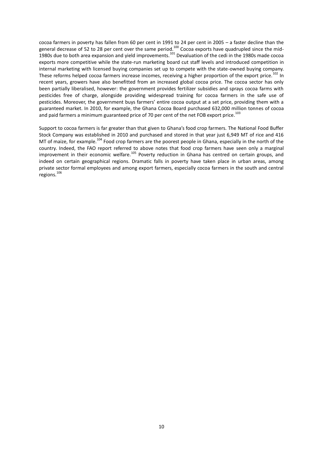cocoa farmers in poverty has fallen from 60 per cent in 1991 to 24 per cent in 2005 – a faster decline than the general decrease of 52 to 28 per cent over the same period.<sup>100</sup> Cocoa exports have quadrupled since the mid-1980s due to both area expansion and yield improvements.<sup>101</sup> Devaluation of the cedi in the 1980s made cocoa<sup>1980</sup>s made cocoa<sup>1980</sup>s made cocoa<sup>1980</sup>s made cocoa<sup>1980</sup>s made cocoa<sup>1980</sup>s made cocoa<sup>1980</sup>s made cocoa<sup>1980</sup> exports more competitive while the state-run marketing board cut staff levels and introduced competition in internal marketing with licensed buying companies set up to compete with the state-owned buying company. These reforms helped cocoa farmers increase incomes, receiving a higher proportion of the export price.<sup>102</sup> In recent years, growers have also benefitted from an increased global cocoa price. The cocoa sector has only been partially liberalised, however: the government provides fertilizer subsidies and sprays cocoa farms with pesticides free of charge, alongside providing widespread training for cocoa farmers in the safe use of pesticides. Moreover, the government buys farmers' entire cocoa output at a set price, providing them with a guaranteed market. In 2010, for example, the Ghana Cocoa Board purchased 632,000 million tonnes of cocoa and paid farmers a minimum guaranteed price of 70 per cent of the net FOB export price.<sup>103</sup>

Support to cocoa farmers is far greater than that given to Ghana's food crop farmers. The National Food Buffer Stock Company was established in 2010 and purchased and stored in that year just 6,949 MT of rice and 416 MT of maize, for example.<sup>104</sup> Food crop farmers are the poorest people in Ghana, especially in the north of the country. Indeed, the FAO report referred to above notes that food crop farmers have seen only a marginal improvement in their economic welfare.<sup>105</sup> Poverty reduction in Ghana has centred on certain groups, and indeed on certain geographical regions. Dramatic falls in poverty have taken place in urban areas, among private sector formal employees and among export farmers, especially cocoa farmers in the south and central regions.<sup>106</sup>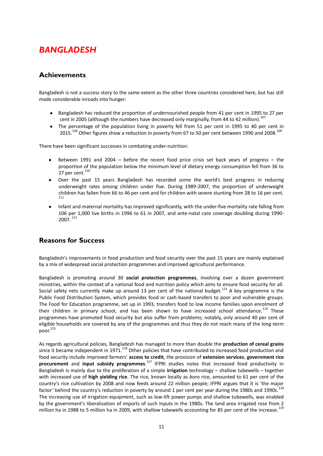### <span id="page-11-0"></span>*BANGLADESH*

### <span id="page-11-1"></span>**Achievements**

Bangladesh is not a success story to the same extent as the other three countries considered here, but has still made considerable inroads into hunger:

- Bangladesh has reduced the proportion of undernourished people from 41 per cent in 1995 to 27 per cent in 2005 (although the numbers have decreased only marginally, from 44 to 42 million).<sup>107</sup>
- The percentage of the population living in poverty fell from 51 per cent in 1995 to 40 per cent in  $\bullet$ 2015.<sup>108</sup> Other figures show a reduction in poverty from 67 to 50 per cent between 1990 and 2008.<sup>109</sup>

There have been significant successes in combating under-nutrition:

- Between 1991 and 2004 before the recent food price crisis set back years of progress the  $\bullet$ proportion of the population below the minimum level of dietary energy consumption fell from 36 to 27 per cent. $^{110}$
- $\bullet$ Over the past 15 years Bangladesh has recorded some the world's best progress in reducing underweight rates among children under five. During 1989-2007, the proportion of underweight children has fallen from 66 to 46 per cent and for children with severe stunting from 28 to 16 per cent. 111
- Infant and maternal mortality has improved significantly, with the under-five mortality rate falling from 106 per 1,000 live births in 1996 to 61 in 2007, and ante-natal care coverage doubling during 1990- 2007. <sup>112</sup>

#### <span id="page-11-2"></span>**Reasons for Success**

Bangladesh's improvements in food production and food security over the past 15 years are mainly explained by a mix of widespread social protection programmes and improved agricultural performance.

Bangladesh is promoting around 30 **social protection programmes**, involving over a dozen government ministries, within the context of a national food and nutrition policy which aims to ensure food security for all. Social safety nets currently make up around 13 per cent of the national budget.<sup>113</sup> A key programme is the Public Food Distribution System, which provides food or cash-based transfers to poor and vulnerable groups. The Food for Education programme, set up in 1993, transfers food to low income families upon enrolment of their children in primary school, and has been shown to have increased school attendance.<sup>114</sup> These programmes have promoted food security but also suffer from problems; notably, only around 40 per cent of eligible households are covered by any of the programmes and thus they do not reach many of the long-term poor. 115

As regards agricultural policies, Bangladesh has managed to more than double the **production of cereal grains** since it became independent in 1971.<sup>116</sup> Other policies that have contributed to increased food production and food security include improved farmers' **access to credit**, the provision of **extension services**, **government rice procurement** and **input subsidy programmes**. <sup>117</sup> IFPRI studies notes that increased food productivity in Bangladesh is mainly due to the proliferation of a simple **irrigation** technology – shallow tubewells – together with increased use of **high yielding rice**. The rice, known locally as *boro* rice, amounted to 61 per cent of the country's rice cultivation by 2008 and now feeds around 22 million people; IFPRI argues that it is 'the major factor' behind the country's reduction in poverty by around 1 per cent per year during the 1980s and 1990s.<sup>118</sup> The increasing use of irrigation equipment, such as low-lift power pumps and shallow tubewells, was enabled by the government's liberalisation of imports of such inputs in the 1980s. The land area irrigated rose from 2 million ha in 1988 to 5 million ha in 2009, with shallow tubewells accounting for 85 per cent of the increase.<sup>119</sup>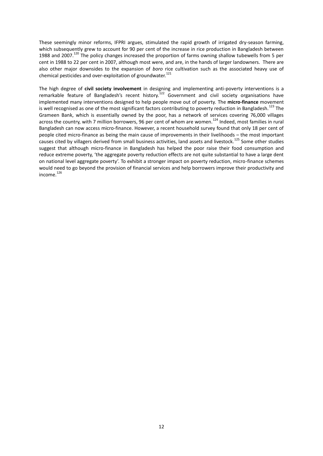These seemingly minor reforms, IFPRI argues, stimulated the rapid growth of irrigated dry-season farming, which subsequently grew to account for 90 per cent of the increase in rice production in Bangladesh between 1988 and 2007.<sup>120</sup> The policy changes increased the proportion of farms owning shallow tubewells from 5 per cent in 1988 to 22 per cent in 2007, although most were, and are, in the hands of larger landowners. There are also other major downsides to the expansion of *boro* rice cultivation such as the associated heavy use of chemical pesticides and over-exploitation of groundwater.<sup>121</sup>

The high degree of **civil society involvement** in designing and implementing anti-poverty interventions is a remarkable feature of Bangladesh's recent history.<sup>122</sup> Government and civil society organisations have implemented many interventions designed to help people move out of poverty. The **micro-finance** movement is well recognised as one of the most significant factors contributing to poverty reduction in Bangladesh.<sup>123</sup> The Grameen Bank, which is essentially owned by the poor, has a network of services covering 76,000 villages across the country, with 7 million borrowers, 96 per cent of whom are women.<sup>124</sup> Indeed, most families in rural Bangladesh can now access micro-finance. However, a recent household survey found that only 18 per cent of people cited micro-finance as being the main cause of improvements in their livelihoods – the most important causes cited by villagers derived from small business activities, land assets and livestock.<sup>125</sup> Some other studies suggest that although micro-finance in Bangladesh has helped the poor raise their food consumption and reduce extreme poverty, 'the aggregate poverty reduction effects are not quite substantial to have a large dent on national level aggregate poverty'. To exhibit a stronger impact on poverty reduction, micro-finance schemes would need to go beyond the provision of financial services and help borrowers improve their productivity and income.<sup>126</sup>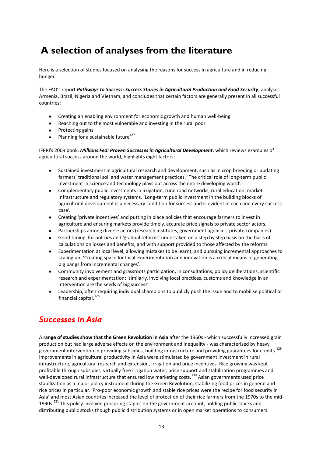## <span id="page-13-0"></span>**A selection of analyses from the literature**

Here is a selection of studies focused on analysing the reasons for success in agriculture and in reducing hunger.

The FAO's report *Pathways to Success: Success Stories in Agricultural Production and Food Security*, analyses Armenia, Brazil, Nigeria and Vietnam, and concludes that certain factors are generally present in all successful countries:

- Creating an enabling environment for economic growth and human well-being  $\bullet$
- Reaching out to the most vulnerable and investing in the rural poor
- Protecting gains  $\bullet$
- Planning for a sustainable future<sup>127</sup>  $\bullet$

IFPRI's 2009 book, *Millions Fed: Proven Successes in Agricultural Development*, which reviews examples of agricultural success around the world, highlights eight factors:

- Sustained investment in agricultural research and development, such as in crop breeding or updating  $\bullet$ farmers' traditional soil and water management practices. 'The critical role of long-term public investment in science and technology plays out across the entire developing world'.
- $\bullet$ Complementary public investments in irrigation, rural road networks, rural education, market infrastructure and regulatory systems. 'Long-term public investment in the building blocks of agricultural development is a necessary condition for success and is evident in each and every success case'.
- Creating 'private incentives' and putting in place policies that encourage farmers to invest in  $\bullet$ agriculture and ensuring markets provide timely, accurate price signals to private sector actors.
- Partnerships among diverse actors (research institutes, government agencies, private companies)
- Good timing for policies and 'gradual reforms' undertaken on a step by step basis on the basis of calculations on losses and benefits, and with support provided to those affected by the reforms.
- Experimentation at local level, allowing mistakes to be learnt, and pursuing incremental approaches to  $\bullet$ scaling up. 'Creating space for local experimentation and innovation is a critical means of generating big bangs from incremental changes'.
- Community involvement and grassroots participation, in consultations, policy deliberations, scientific  $\bullet$ research and experimentation; 'similarly, involving local practices, customs and knowledge in an intervention are the seeds of big success'.
- Leadership, often requiring individual champions to publicly push the issue and to mobilise political or financial capital.<sup>128</sup>

### *Successes in Asia*

A **range of studies show that the Green Revolution in Asia** after the 1960s - which successfully increased grain production but had large adverse effects on the environment and inequality - was characterised by heavy government intervention in providing subsidies, building infrastructure and providing guarantees for credits.<sup>129</sup> Improvements in agricultural productivity in Asia were stimulated by government investment in rural infrastructure, agricultural research and extension, irrigation and price incentives. Rice growing was kept profitable through subsidies, virtually free irrigation water, price support and stabilization programmes and well-developed rural infrastructure that ensured low marketing costs.<sup>130</sup> Asian governments used price stabilization as a major policy instrument during the Green Revolution, stabilizing food prices in general and rice prices in particular. 'Pro-poor economic growth and stable rice prices were the recipe for food security in Asia' and most Asian countries increased the level of protection of their rice farmers from the 1970s to the mid-1990s.<sup>131</sup> This policy involved procuring staples on the government account, holding public stocks and distributing public stocks though public distribution systems or in open market operations to consumers.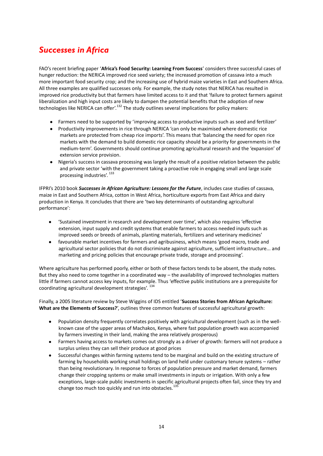## *Successes in Africa*

FAO's recent briefing paper '**Africa's Food Security: Learning From Success**' considers three successful cases of hunger reduction: the NERICA improved rice seed variety; the increased promotion of cassava into a much more important food security crop; and the increasing use of hybrid maize varieties in East and Southern Africa. All three examples are qualified successes only. For example, the study notes that NERICA has resulted in improved rice productivity but that farmers have limited access to it and that 'failure to protect farmers against liberalization and high input costs are likely to dampen the potential benefits that the adoption of new technologies like NERICA can offer'.<sup>132</sup> The study outlines several implications for policy makers:

- Farmers need to be supported by 'improving access to productive inputs such as seed and fertilizer'
- Productivity improvements in rice through NERICA 'can only be maximised where domestic rice markets are protected from cheap rice imports'. This means that 'balancing the need for open rice markets with the demand to build domestic rice capacity should be a priority for governments in the medium-term'. Governments should continue promoting agricultural research and the 'expansion' of extension service provision.
- Nigeria's success in cassava processing was largely the result of a positive relation between the public and private sector 'with the government taking a proactive role in engaging small and large scale processing industries'.  $^{133}$

IFPRI's 2010 book *Successes in African Agriculture: Lessons for the Future*, includes case studies of cassava, maize in East and Southern Africa, cotton in West Africa, horticulture exports from East Africa and dairy production in Kenya. It concludes that there are 'two key determinants of outstanding agricultural performance':

- 'Sustained investment in research and development over time', which also requires 'effective  $\bullet$ extension, input supply and credit systems that enable farmers to access needed inputs such as improved seeds or breeds of animals, planting materials, fertilizers and veterinary medicines'
- favourable market incentives for farmers and agribusiness, which means 'good macro, trade and  $\bullet$ agricultural sector policies that do not discriminate against agriculture, sufficient infrastructure... and marketing and pricing policies that encourage private trade, storage and processing'.

Where agriculture has performed poorly, either or both of these factors tends to be absent, the study notes. But they also need to come together in a coordinated way – the availability of improved technologies matters little if farmers cannot access key inputs, for example. Thus 'effective public institutions are a prerequisite for coordinating agricultural development strategies'.<sup>134</sup>

Finally, a 2005 literature review by Steve Wiggins of IDS entitled '**Success Stories from African Agriculture: What are the Elements of Success?**', outlines three common features of successful agricultural growth:

- Population density frequently correlates positively with agricultural development (such as in the well- $\bullet$ known case of the upper areas of Machakos, Kenya, where fast population growth was accompanied by farmers investing in their land, making the area relatively prosperous)
- Farmers having access to markets comes out strongly as a driver of growth: farmers will not produce a  $\bullet$ surplus unless they can sell their produce at good prices
- $\bullet$ Successful changes within farming systems tend to be marginal and build on the existing structure of farming by households working small holdings on land held under customary tenure systems – rather than being revolutionary. In response to forces of population pressure and market demand, farmers change their cropping systems or make small investments in inputs or irrigation. With only a few exceptions, large-scale public investments in specific agricultural projects often fail, since they try and change too much too quickly and run into obstacles.<sup>135</sup>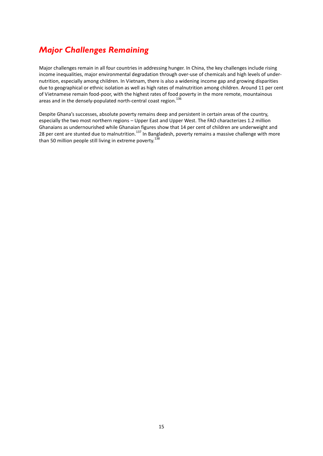### *Major Challenges Remaining*

Major challenges remain in all four countries in addressing hunger. In China, the key challenges include rising income inequalities, major environmental degradation through over-use of chemicals and high levels of undernutrition, especially among children. In Vietnam, there is also a widening income gap and growing disparities due to geographical or ethnic isolation as well as high rates of malnutrition among children. Around 11 per cent of Vietnamese remain food-poor, with the highest rates of food poverty in the more remote, mountainous areas and in the densely-populated north-central coast region.<sup>136</sup>

Despite Ghana's successes, absolute poverty remains deep and persistent in certain areas of the country, especially the two most northern regions – Upper East and Upper West. The FAO characterizes 1.2 million Ghanaians as undernourished while Ghanaian figures show that 14 per cent of children are underweight and 28 per cent are stunted due to malnutrition.<sup>137</sup> In Bangladesh, poverty remains a massive challenge with more than 50 million people still living in extreme poverty.<sup>138</sup>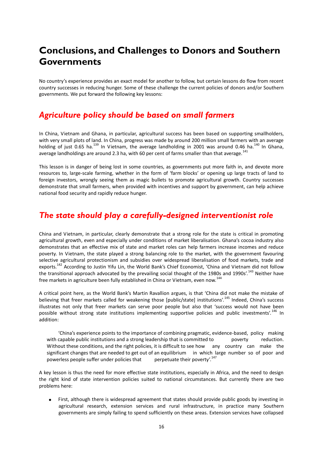## <span id="page-16-0"></span>**Conclusions, and Challenges to Donors and Southern Governments**

No country's experience provides an exact model for another to follow, but certain lessons do flow from recent country successes in reducing hunger. Some of these challenge the current policies of donors and/or Southern governments. We put forward the following key lessons:

### *Agriculture policy should be based on small farmers*

In China, Vietnam and Ghana, in particular, agricultural success has been based on supporting smallholders, with very small plots of land. In China, progress was made by around 200 million small farmers with an average holding of just 0.65 ha.<sup>139</sup> In Vietnam, the average landholding in 2001 was around 0.46 ha.<sup>140</sup> In Ghana, average landholdings are around 2.3 ha, with 60 per cent of farms smaller than that average.<sup>141</sup>

This lesson is in danger of being lost in some countries, as governments put more faith in, and devote more resources to, large-scale farming, whether in the form of 'farm blocks' or opening up large tracts of land to foreign investors, wrongly seeing them as magic bullets to promote agricultural growth. Country successes demonstrate that small farmers, when provided with incentives and support by government, can help achieve national food security and rapidly reduce hunger.

### *The state should play a carefully-designed interventionist role*

China and Vietnam, in particular, clearly demonstrate that a strong role for the state is critical in promoting agricultural growth, even and especially under conditions of market liberalisation. Ghana's cocoa industry also demonstrates that an effective mix of state and market roles can help farmers increase incomes and reduce poverty. In Vietnam, the state played a strong balancing role to the market, with the government favouring selective agricultural protectionism and subsidies over widespread liberalisation of food markets, trade and exports.<sup>142</sup> According to Justin Yifu Lin, the World Bank's Chief Economist, 'China and Vietnam did not follow the transitional approach advocated by the prevailing social thought of the 1980s and 1990s'.<sup>143</sup> Neither have free markets in agriculture been fully established in China or Vietnam, even now.<sup>144</sup>

A critical point here, as the World Bank's Martin Ravallion argues, is that 'China did not make the mistake of believing that freer markets called for weakening those [public/state] institutions'.<sup>145</sup> Indeed, China's success illustrates not only that freer markets can serve poor people but also that 'success would not have been possible without strong state institutions implementing supportive policies and public investments'.<sup>146</sup> In addition:

'China's experience points to the importance of combining pragmatic, evidence-based, policy making with capable public institutions and a strong leadership that is committed to poverty reduction. Without these conditions, and the right policies, it is difficult to see how any country can make the significant changes that are needed to get out of an equilibrium in which large number so of poor and powerless people suffer under policies that perpetuate their poverty'.<sup>147</sup> powerless people suffer under policies that

A key lesson is thus the need for more effective state institutions, especially in Africa, and the need to design the right kind of state intervention policies suited to national circumstances. But currently there are two problems here:

First, although there is widespread agreement that states should provide public goods by investing in agricultural research, extension services and rural infrastructure, in practice many Southern governments are simply failing to spend sufficiently on these areas. Extension services have collapsed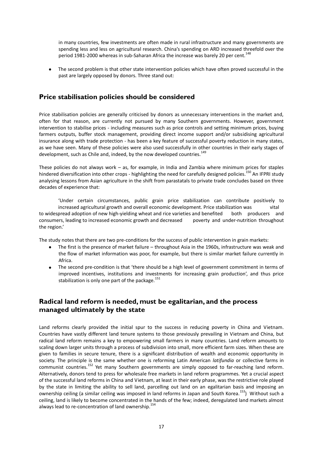in many countries, few investments are often made in rural infrastructure and many governments are spending less and less on agricultural research. China's spending on ARD increased threefold over the period 1981-2000 whereas in sub-Saharan Africa the increase was barely 20 per cent.<sup>148</sup>

The second problem is that other state intervention policies which have often proved successful in the past are largely opposed by donors. Three stand out:

#### **Price stabilisation policies should be considered**

Price stabilisation policies are generally criticised by donors as unnecessary interventions in the market and, often for that reason, are currently not pursued by many Southern governments. However, government intervention to stabilise prices - including measures such as price controls and setting minimum prices, buying farmers outputs, buffer stock management, providing direct income support and/or subsidising agricultural insurance along with trade protection - has been a key feature of successful poverty reduction in many states, as we have seen. Many of these policies were also used successfully in other countries in their early stages of development, such as Chile and, indeed, by the now developed countries.<sup>149</sup>

These policies do not always work – as, for example, in India and Zambia where minimum prices for staples hindered diversification into other crops - highlighting the need for carefully designed policies.<sup>150</sup> An IFPRI study analysing lessons from Asian agriculture in the shift from parastatals to private trade concludes based on three decades of experience that:

'Under certain circumstances, public grain price stabilization can contribute positively to increased agricultural growth and overall economic development. Price stabilization was vital to widespread adoption of new high-yielding wheat and rice varieties and benefited both producers and consumers, leading to increased economic growth and decreased poverty and under-nutrition throughout the region.'

The study notes that there are two pre-conditions for the success of public intervention in grain markets:

- The first is the presence of market failure throughout Asia in the 1960s, infrastructure was weak and the flow of market information was poor, for example, but there is similar market failure currently in Africa.
- The second pre-condition is that 'there should be a high level of government commitment in terms of improved incentives, institutions and investments for increasing grain production', and thus price stabilization is only one part of the package. $151$

### **Radical land reform is needed, must be egalitarian, and the process managed ultimately by the state**

Land reforms clearly provided the initial spur to the success in reducing poverty in China and Vietnam. Countries have vastly different land tenure systems to those previously prevailing in Vietnam and China, but radical land reform remains a key to empowering small farmers in many countries. Land reform amounts to scaling down larger units through a process of subdivision into small, more efficient farm sizes. When these are given to families in secure tenure, there is a significant distribution of wealth and economic opportunity in society. The principle is the same whether one is reforming Latin American *latifundia* or collective farms in communist countries.<sup>152</sup> Yet many Southern governments are simply opposed to far-reaching land reform. Alternatively, donors tend to press for wholesale free markets in land reform programmes. Yet a crucial aspect of the successful land reforms in China and Vietnam, at least in their early phase, was the restrictive role played by the state in limiting the ability to sell land, parcelling out land on an egalitarian basis and imposing an ownership ceiling (a similar ceiling was imposed in land reforms in Japan and South Korea.<sup>153</sup>) Without such a ceiling, land is likely to become concentrated in the hands of the few; indeed, deregulated land markets almost always lead to re-concentration of land ownership.<sup>154</sup>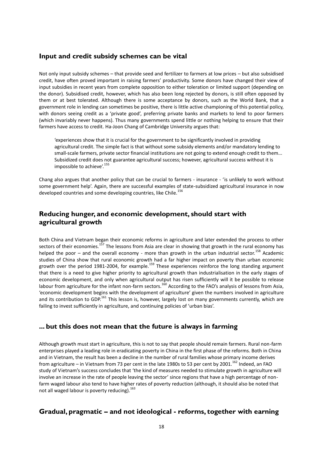#### **Input and credit subsidy schemes can be vital**

Not only input subsidy schemes – that provide seed and fertilizer to farmers at low prices – but also subsidised credit, have often proved important in raising farmers' productivity. Some donors have changed their view of input subsidies in recent years from complete opposition to either toleration or limited support (depending on the donor). Subsidised credit, however, which has also been long rejected by donors, is still often opposed by them or at best tolerated. Although there is some acceptance by donors, such as the World Bank, that a government role in lending can sometimes be positive, there is little active championing of this potential policy, with donors seeing credit as a 'private good', preferring private banks and markets to lend to poor farmers (which invariably never happens). Thus many governments spend little or nothing helping to ensure that their farmers have access to credit. Ha-Joon Chang of Cambridge University argues that:

'experiences show that it is crucial for the government to be significantly involved in providing agricultural credit. The simple fact is that without some subsidy elements and/or mandatory lending to small-scale farmers, private sector financial institutions are not going to extend enough credit to them... Subsidized credit does not guarantee agricultural success; however, agricultural success without it is impossible to achieve'. 155

Chang also argues that another policy that can be crucial to farmers - insurance - 'is unlikely to work without some government help'. Again, there are successful examples of state-subsidized agricultural insurance in now developed countries and some developing countries, like Chile.<sup>156</sup>

#### **Reducing hunger, and economic development, should start with agricultural growth**

Both China and Vietnam began their economic reforms in agriculture and later extended the process to other sectors of their economies.<sup>157</sup> The lessons from Asia are clear in showing that growth in the rural economy has helped the poor – and the overall economy - more than growth in the urban industrial sector.<sup>158</sup> Academic studies of China show that rural economic growth had a far higher impact on poverty than urban economic growth over the period 1981-2004, for example.<sup>159</sup> These experiences reinforce the long standing argument that there is a need to give higher priority to agricultural growth than industrialisation in the early stages of economic development, and only when agricultural output has risen sufficiently will it be possible to release labour from agriculture for the infant non-farm sectors.<sup>160</sup> According to the FAO's analysis of lessons from Asia, 'economic development begins with the development of agriculture' given the numbers involved in agriculture and its contribution to GDP.<sup>161</sup> This lesson is, however, largely lost on many governments currently, which are failing to invest sufficiently in agriculture, and continuing policies of 'urban bias'.

#### **... but this does not mean that the future is always in farming**

Although growth must start in agriculture, this is not to say that people should remain farmers. Rural non-farm enterprises played a leading role in eradicating poverty in China in the first phase of the reforms. Both in China and in Vietnam, the result has been a decline in the number of rural families whose primary income derives from agriculture – in Vietnam from 73 per cent in the late 1980s to 53 per cent by 2001.<sup>162</sup> Indeed, an FAO study of Vietnam's success concludes that 'the kind of measures needed to stimulate growth in agriculture will involve an increase in the rate of people leaving the sector' since regions that have a high percentage of nonfarm waged labour also tend to have higher rates of poverty reduction (although, it should also be noted that not all waged labour is poverty reducing).<sup>163</sup>

#### **Gradual, pragmatic – and not ideological - reforms, together with earning**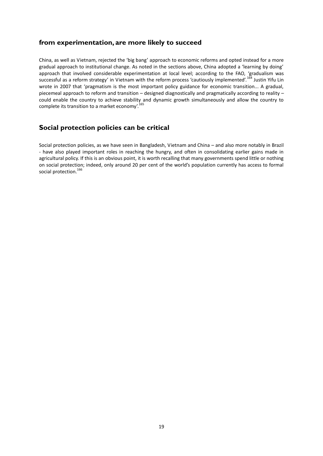#### **from experimentation, are more likely to succeed**

China, as well as Vietnam, rejected the 'big bang' approach to economic reforms and opted instead for a more gradual approach to institutional change. As noted in the sections above, China adopted a 'learning by doing' approach that involved considerable experimentation at local level; according to the FAO, 'gradualism was successful as a reform strategy' in Vietnam with the reform process 'cautiously implemented'.<sup>164</sup> Justin Yifu Lin wrote in 2007 that 'pragmatism is the most important policy guidance for economic transition... A gradual, piecemeal approach to reform and transition – designed diagnostically and pragmatically according to reality – could enable the country to achieve stability and dynamic growth simultaneously and allow the country to complete its transition to a market economy'.<sup>165</sup>

#### **Social protection policies can be critical**

Social protection policies, as we have seen in Bangladesh, Vietnam and China – and also more notably in Brazil - have also played important roles in reaching the hungry, and often in consolidating earlier gains made in agricultural policy. If this is an obvious point, it is worth recalling that many governments spend little or nothing on social protection; indeed, only around 20 per cent of the world's population currently has access to formal social protection.<sup>166</sup>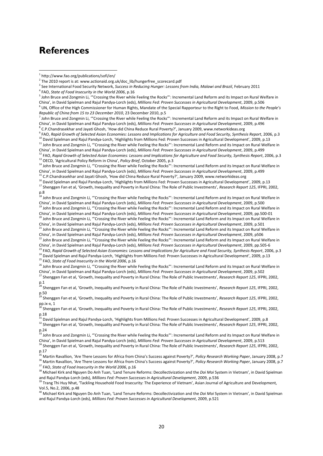### <span id="page-20-0"></span>**References**

<u>.</u>

*Republic of China from 15 to 23 December 2010*, 23 December 2010, p.5

<sup>7</sup> John Bruce and Zongmin Li, "'Crossing the River while Feeling the Rocks"': Incremental Land Reform and its Impact on Rural Welfare in China', in David Spielman and Rajul Pandya-Lorch (eds), *Millions Fed: Proven Successes in Agricultural Development*, 2009, p.496 8 C.P.Chandrasekhar and Jayati Ghosh, 'How did China Reduce Rural Poverty?', January 2009, www.networkideas.org

<sup>9</sup> FAO, Rapid Growth of Selected Asian Economies: Lessons and Implications for Agriculture and Food Security, Synthesis Report, 2006, p.3

10 David Spielman and Rajul Pandya-Lorch, 'Highlights from Millions Fed: Proven Successes in Agricultural Development', 2009, p.13 <sup>11</sup> John Bruce and Zongmin Li, ""Crossing the River while Feeling the Rocks"': Incremental Land Reform and its Impact on Rural Welfare in

- China', in David Spielman and Rajul Pandya-Lorch (eds), *Millions Fed: Proven Successes in Agricultural Development*, 2009, p.499 <sup>12</sup> FAO, Rapid Growth of Selected Asian Economies: Lessons and Implications for Agriculture and Food Security, Synthesis Report, 2006, p.3
- <sup>13</sup> OECD, 'Agricultural Policy Reform in China', *Policy Brief*, October 2005, p.3

<sup>14</sup> John Bruce and Zongmin Li, '"Crossing the River while Feeling the Rocks"': Incremental Land Reform and its Impact on Rural Welfare in China', in David Spielman and Rajul Pandya-Lorch (eds), *Millions Fed: Proven Successes in Agricultural Development*, 2009, p.499

<sup>15</sup> C.P.Chandrasekhar and Jayati Ghosh, 'How did China Reduce Rural Poverty?', January 2009, www.networkideas.org

<sup>16</sup> David Spielman and Rajul Pandya-Lorch, 'Highlights from Millions Fed: Proven Successes in Agricultural Development', 2009, p.13 <sup>17</sup> Shenggen Fan et al, 'Growth, Inequality and Poverty in Rural China: The Role of Public Investments', *Research Report 125*, IFPRI, 2002, p.8

<sup>18</sup> John Bruce and Zongmin Li, ""Crossing the River while Feeling the Rocks"': Incremental Land Reform and its Impact on Rural Welfare in China', in David Spielman and Rajul Pandya-Lorch (eds), *Millions Fed: Proven Successes in Agricultural Development*, 2009, p.500  $^{19}$  John Bruce and Zongmin Li, ""Crossing the River while Feeling the Rocks"': Incremental Land Reform and its Impact on Rural Welfare in

China', in David Spielman and Rajul Pandya-Lorch (eds), *Millions Fed: Proven Successes in Agricultural Development*, 2009, pp.500-01 John Bruce and Zongmin Li, "'Crossing the River while Feeling the Rocks"': Incremental Land Reform and its Impact on Rural Welfare in

- China', in David Spielman and Rajul Pandya-Lorch (eds), *Millions Fed: Proven Successes in Agricultural Development*, 2009, p.501  $^{21}$  John Bruce and Zongmin Li, ""Crossing the River while Feeling the Rocks"': Incremental Land Reform and its Impact on Rural Welfare in
- China', in David Spielman and Rajul Pandya-Lorch (eds), *Millions Fed: Proven Successes in Agricultural Development*, 2009, p506  $^{22}$  John Bruce and Zongmin Li, ""Crossing the River while Feeling the Rocks"': Incremental Land Reform and its Impact on Rural Welfare in

China', in David Spielman and Rajul Pandya-Lorch (eds), *Millions Fed: Proven Successes in Agricultural Development*, 2009, pp.505-6

<sup>3</sup> FAO, Rapid Growth of Selected Asian Economies: Lessons and Implications for Agriculture and Food Security, Synthesis Report, 2006, p.3 <sup>24</sup> David Spielman and Rajul Pandya-Lorch, 'Highlights from Millions Fed: Proven Successes in Agricultural Development', 2009, p.13

<sup>25</sup> FAO, *State of Food Insecurity in the World 2006*, p.16

<sup>26</sup> John Bruce and Zongmin Li, "'Crossing the River while Feeling the Rocks"': Incremental Land Reform and its Impact on Rural Welfare in China', in David Spielman and Rajul Pandya-Lorch (eds), *Millions Fed: Proven Successes in Agricultural Development*, 2009, p.502 <sup>27</sup> Shenggen Fan et al, 'Growth, Inequality and Poverty in Rural China: The Role of Public Investments', *Research Report 125*, IFPRI, 2002,

p.1 <sup>28</sup> Shenggen Fan et al, 'Growth, Inequality and Poverty in Rural China: The Role of Public Investments', *Research Report 125*, IFPRI, 2002, p.50

<sup>29</sup> Shenggen Fan et al, 'Growth, Inequality and Poverty in Rural China: The Role of Public Investments', *Research Report 125*, IFPRI, 2002, pp.ix-x, 1

<sup>0</sup> Shenggen Fan et al, 'Growth, Inequality and Poverty in Rural China: The Role of Public Investments', *Research Report 125*, IFPRI, 2002, p.18

 $31$  David Spielman and Rajul Pandya-Lorch, 'Highlights from Millions Fed: Proven Successes in Agricultural Development', 2009, p.8

<sup>32</sup> Shenggen Fan et al, 'Growth, Inequality and Poverty in Rural China: The Role of Public Investments', *Research Report 125*, IFPRI, 2002, p.24

 $33$  John Bruce and Zongmin Li, ""Crossing the River while Feeling the Rocks"': Incremental Land Reform and its Impact on Rural Welfare in China', in David Spielman and Rajul Pandya-Lorch (eds), *Millions Fed: Proven Successes in Agricultural Development*, 2009, p.513

<sup>35</sup> Martin Ravallion, 'Are There Lessons for Africa from China's Success against Poverty?', *Policy Research Working Paper*, January 2008, p.7 <sup>36</sup> Martin Ravallion, 'Are There Lessons for Africa from China's Success against Poverty?', *Policy Research Working Paper*, January 2008, p.7

<sup>37</sup> FAO, *State of Food Insecurity in the World 2006*, p.16

<sup>38</sup> Michael Kirk and Nguyen Do Anh Tuan, 'Land Tenure Reforms: Decollectivization and the *Doi Moi* System in Vietnam', in David Spielman and Rajul Pandya-Lorch (eds), *Millions Fed: Proven Successes in Agricultural Development*, 2009, p.536

<sup>39</sup> Trang Thi Huy Nhat, 'Tackling Household Food Insecurity: The Experience of Vietnam', Asian Journal of Agriculture and Development, Vol.5, No.2, 2006, p.48

<sup>40</sup> Michael Kirk and Nguyen Do Anh Tuan, 'Land Tenure Reforms: Decollectivization and the *Doi Moi* System in Vietnam', in David Spielman and Rajul Pandya-Lorch (eds), *Millions Fed: Proven Successes in Agricultural Development*, 2009, p.521

<sup>1</sup> http://www.fao.org/publications/sofi/en/

<sup>&</sup>lt;sup>2</sup> The 2010 report is at: www.actionaid.org.uk/doc\_lib/hungerfree\_scorecard.pdf

<sup>3</sup> See International Food Security Network, *Success in Reducing Hunger: Lessons from India, Malawi and Brazil*, February 2011

<sup>4</sup> FAO, *State of Food Insecurity in the World 2006*, p.16

<sup>5</sup> John Bruce and Zongmin Li, '"Crossing the River while Feeling the Rocks"': Incremental Land Reform and its Impact on Rural Welfare in China', in David Spielman and Rajul Pandya-Lorch (eds), *Millions Fed: Proven Successes in Agricultural Development*, 2009, p.506 6 UN, Office of the High Commissioner for Human Rights, Mandate of the Special Rapporteur to the Right to Food, *Mission to the People's* 

<sup>34</sup> Shenggen Fan et al, 'Growth, Inequality and Poverty in Rural China: The Role of Public Investments', *Research Report 125*, IFPRI, 2002, p.17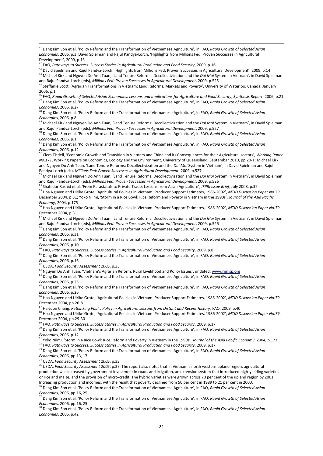<sup>46</sup> FAO, *Rapid Growth of Selected Asian Economies: Lessons and Implications for Agriculture and Food Security, Synthesis Report*, 2006, p.21 <sup>47</sup> Dang Kim Son et al, 'Policy Reform and the Transformation of Vietnamese Agriculture', in FAO, *Rapid Growth of Selected Asian* 

*Economies*, 2006, p.27

<u>.</u>

<sup>48</sup> Dang Kim Son et al, 'Policy Reform and the Transformation of Vietnamese Agriculture', in FAO, *Rapid Growth of Selected Asian Economies*, 2006, p.8

<sup>49</sup> Michael Kirk and Nguyen Do Anh Tuan, 'Land Tenure Reforms: Decollectivization and the *Doi Moi* System in Vietnam', in David Spielman and Rajul Pandya-Lorch (eds), *Millions Fed: Proven Successes in Agricultural Development*, 2009, p.527

<sup>50</sup> Dang Kim Son et al, 'Policy Reform and the Transformation of Vietnamese Agriculture', in FAO, *Rapid Growth of Selected Asian Economies*, 2006, p.1

<sup>51</sup> Dang Kim Son et al, 'Policy Reform and the Transformation of Vietnamese Agriculture', in FAO, *Rapid Growth of Selected Asian Economies*, 2006, p.12

<sup>52</sup> Clem Tisdell, 'Economic Growth and Transition in Vietnam and China and its Consequences for their Agricultural sectors', *Working Paper No.171*, Working Papers on Economics, Ecology and the Environment, University of Queensland, September 2010, pp.20-1; Michael Kirk and Nguyen Do Anh Tuan, 'Land Tenure Reforms: Decollectivization and the *Doi Moi* System in Vietnam', in David Spielman and Rajul Pandya-Lorch (eds), *Millions Fed: Proven Successes in Agricultural Development*, 2009, p.527

<sup>53</sup> Michael Kirk and Nguyen Do Anh Tuan, 'Land Tenure Reforms: Decollectivization and the *Doi Moi* System in Vietnam', in David Spielman and Rajul Pandya-Lorch (eds), *Millions Fed: Proven Successes in Agricultural Development*, 2009, p.526

<sup>54</sup> Shahidur Rashid et al, 'From Parastatals to Private Trade: Lessons from Asian Agriculture', *IFPRI Issue Brief*, July 2008, p.32

<sup>55</sup> Hoa Nguyen and Ulrike Grote, 'Agricultural Policies in Vietnam: Producer Support Estimates, 1986-2002', *MTID Discussion Paper No.79*, December 2004, p.31; Yoko Niimi, 'Storm in a Rice Bowl: Rice Reform and Poverty in Vietnam in the 1990s', *Journal of the Asia Pacific Economy*, 2004, p.175

<sup>56</sup> Hoa Nguyen and Ulrike Grote, 'Agricultural Policies in Vietnam: Producer Support Estimates, 1986-2002', *MTID Discussion Paper No.79*, December 2004, p.31

<sup>7</sup> Michael Kirk and Nguyen Do Anh Tuan, 'Land Tenure Reforms: Decollectivization and the *Doi Moi* System in Vietnam', in David Spielman and Rajul Pandya-Lorch (eds), *Millions Fed: Proven Successes in Agricultural Development*, 2009, p.526<br><sup>58</sup> Dang Kim Son at al. (2015, p.526

<sup>58</sup> Dang Kim Son et al, 'Policy Reform and the Transformation of Vietnamese Agriculture', in FAO, *Rapid Growth of Selected Asian Economies*, 2006, p.31

<sup>59</sup> Dang Kim Son et al, 'Policy Reform and the Transformation of Vietnamese Agriculture', in FAO, *Rapid Growth of Selected Asian Economies*, 2006, p.10

<sup>60</sup> FAO, *Pathways to Success: Success Stories in Agricultural Production and Food Security*, 2009, p.8

<sup>61</sup> Dang Kim Son et al, 'Policy Reform and the Transformation of Vietnamese Agriculture', in FAO, *Rapid Growth of Selected Asian Economies*, 2006, p.16

<sup>62</sup> USDA, *Food Security Assessment 2005*, p.33

<sup>63</sup> Nguyen Do Anh Tuan, 'Vietnam's Agrarian Reform, Rural Livelihood and Policy Issues', undated, [www.rimisp.org](http://www.rimisp.org/)

<sup>64</sup> Dang Kim Son et al, 'Policy Reform and the Transformation of Vietnamese Agriculture', in FAO, *Rapid Growth of Selected Asian Economies*, 2006, p.25

<sup>65</sup> Dang Kim Son et al, 'Policy Reform and the Transformation of Vietnamese Agriculture', in FAO, *Rapid Growth of Selected Asian Economies*, 2006, p.26

<sup>66</sup> Hoa Nguyen and Ulrike Grote, 'Agricultural Policies in Vietnam: Producer Support Estimates, 1986-2002', *MTID Discussion Paper No.79*, December 2004, pp.26-8

<sup>67</sup> Ha-Joon Chang, *Rethinking Public Policy in Agriculture: Lessons from Distant and Recent History*, FAO, 2009, p.40

<sup>68</sup> Hoa Nguyen and Ulrike Grote, 'Agricultural Policies in Vietnam: Producer Support Estimates, 1986-2002', *MTID Discussion Paper No.79*, December 2004, pp.29-30

<sup>69</sup> FAO, *Pathways to Success: Success Stories in Agricultural Production and Food Security*, 2009, p.17

<sup>70</sup> Dang Kim Son et al, 'Policy Reform and the Transformation of Vietnamese Agriculture', in FAO, *Rapid Growth of Selected Asian Economies*, 2006, p.12

<sup>71</sup> Yoko Niimi, 'Storm in a Rice Bowl: Rice Reform and Poverty in Vietnam in the 1990s', *Journal of the Asia Pacific Economy*, 2004, p.173

<sup>72</sup> FAO, *Pathways to Success: Success Stories in Agricultural Production and Food Security*, 2009, p.17

<sup>73</sup> Dang Kim Son et al, 'Policy Reform and the Transformation of Vietnamese Agriculture', in FAO, *Rapid Growth of Selected Asian Economies*, 2006, pp.13, 17

<sup>74</sup> USDA, *Food Security Assessment 2005*, p.33

<sup>75</sup> USDA, *Food Security Assessment 2005*, p.37. The report also notes that in Vietnam's north western upland region, agricultural production was increased by government investment in roads and irrigation, an extension system that introduced high-yielding varieties or rice and maize, and the provision of micro-credit. The hybrid varieties were grown across 70 per cent of the upland region by 2001. Increasing production and incomes, with the result that poverty declined from 50 per cent in 1989 to 21 per cent in 2000.

<sup>76</sup> Dang Kim Son et al, 'Policy Reform and the Transformation of Vietnamese Agriculture', in FAO, *Rapid Growth of Selected Asian Economies*, 2006, pp.16, 25<sup>7</sup>

<sup>77</sup> Dang Kim Son et al, 'Policy Reform and the Transformation of Vietnamese Agriculture', in FAO, *Rapid Growth of Selected Asian Economies*, 2006, pp.16, 25

<sup>78</sup> Dang Kim Son et al, 'Policy Reform and the Transformation of Vietnamese Agriculture', in FAO, *Rapid Growth of Selected Asian Economies*, 2006, p.42

<sup>41</sup> Dang Kim Son et al, 'Policy Reform and the Transformation of Vietnamese Agriculture', in FAO, *Rapid Growth of Selected Asian Economies*, 2006, p.3l David Spielman and Rajul Pandya-Lorch, 'Highlights from Millions Fed: Proven Successes in Agricultural Development', 2009, p.13

<sup>42</sup> FAO, *Pathways to Success: Success Stories in Agricultural Production and Food Security*, 2009, p.16

<sup>43</sup> David Spielman and Rajul Pandya-Lorch, 'Highlights from Millions Fed: Proven Successes in Agricultural Development', 2009, p.14 <sup>44</sup> Michael Kirk and Nguyen Do Anh Tuan, 'Land Tenure Reforms: Decollectivization and the *Doi Moi* System in Vietnam', in David Spielman

and Rajul Pandya-Lorch (eds), *Millions Fed: Proven Successes in Agricultural Development*, 2009, p.525 <sup>45</sup> Steffanie Scott, 'Agrarian Transformations in Vietnam: Land Reforms, Markets and Poverty', University of Waterloo, Canada, January 2006, p.1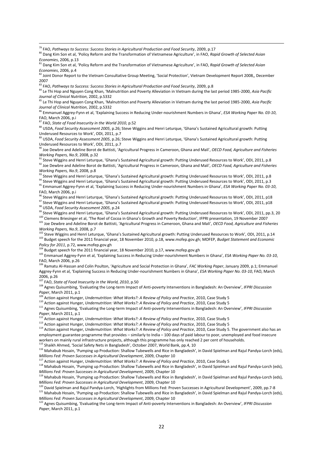<sup>81</sup> Dang Kim Son et al, 'Policy Reform and the Transformation of Vietnamese Agriculture', in FAO, *Rapid Growth of Selected Asian Economies*, 2006, p.4

<sup>85</sup> Le Thi Hop and Nguyen Cong Khan, 'Malnutrition and Poverty Alleviation in Vietnam during the last period 1985-2000, *Asia Pacific Journal of Clinical Nutrition*, 2002, p.S332

<sup>86</sup> Emmanuel Aggrey-Fynn et al, 'Explaining Success in Reducing Under-nourishment Numbers in Ghana', *ESA Working Paper No. 03-10*, FAO, March 2006, p.i

<sup>87</sup> FAO, *State of Food Insecurity in the World 2010*, p.52

<u>.</u>

88 USDA, *Food Security Assessment 2005*, p.26; Steve Wiggins and Henri Leturque, 'Ghana's Sustained Agricultural growth: Putting Underused Resources to Work', ODI, 2011, p.7

<sup>89</sup> USDA, *Food Security Assessment 2005*, p.26; Steve Wiggins and Henri Leturque, 'Ghana's Sustained Agricultural growth: Putting Underused Resources to Work', ODI, 2011, p.7

<sup>90</sup> Joe Dewbre and Adeline Borot de Battisti, 'Agricultural Progress in Cameroon, Ghana and Mali', *OECD Food, Agriculture and Fisheries Working Papers, No.9*, 2008, p.32

<sup>91</sup> Steve Wiggins and Henri Leturque, 'Ghana's Sustained Agricultural growth: Putting Underused Resources to Work', ODI, 2011, p.8 <sup>92</sup> Joe Dewbre and Adeline Borot de Battisti, 'Agricultural Progress in Cameroon, Ghana and Mali', *OECD Food, Agriculture and Fisheries Working Papers, No.9, 2008, p.8.* 

93 Steve Wiggins and Henri Leturque, 'Ghana's Sustained Agricultural growth: Putting Underused Resources to Work', ODI, 2011, p.8

94 Steve Wiggins and Henri Leturque, 'Ghana's Sustained Agricultural growth: Putting Underused Resources to Work', ODI, 2011, p.3

<sup>95</sup> Emmanuel Aggrey-Fynn et al, 'Explaining Success in Reducing Under-nourishment Numbers in Ghana', *ESA Working Paper No. 03-10*, FAO, March 2006, p.i

<sup>96</sup> Steve Wiggins and Henri Leturque, 'Ghana's Sustained Agricultural growth: Putting Underused Resources to Work', ODI, 2011, p18

<sup>97</sup> Steve Wiggins and Henri Leturque, 'Ghana's Sustained Agricultural growth: Putting Underused Resources to Work', ODI, 2011, p18 <sup>98</sup> USDA, *Food Security Assessment 2005*, p.24

<sup>99</sup> Steve Wiggins and Henri Leturque, 'Ghana's Sustained Agricultural growth: Putting Underused Resources to Work', ODI, 2011, pp.3, 20 <sup>100</sup> Clemens Briesinger et al, 'The Roel of Cocoa in Ghana's Growth and Poverty Reduction', IFPRI presentation, 19 November 2007

<sup>101</sup> Joe Dewbre and Adeline Borot de Battisti, 'Agricultural Progress in Cameroon, Ghana and Mali', *OECD Food, Agriculture and Fisheries Working Papers, No.9*, 2008, p.7

<sup>2</sup> Steve Wiggins and Henri Leturque, 'Ghana's Sustained Agricultural growth: Putting Underused Resources to Work', ODI, 2011, p.14 <sup>103</sup> Budget speech for the 2011 financial year, 18 November 2010, p.18[, www.mofep.gov.gh;](http://www.mofep.gov.gh/) MOFEP, *Budget Statement and Economic Policy for 2011*, p.72, www.mofep.gov.gh

 $^{1}$  Budget speech for the 2011 financial year, 18 November 2010, p.17, www.mofep.gov.gh

<sup>105</sup> Emmanuel Aggrey-Fynn et al, 'Explaining Success in Reducing Under-nourishment Numbers in Ghana', *ESA Working Paper No. 03-10*, FAO, March 2006, p.26

<sup>106</sup> Ramatu Al-Hassan and Colin Poulton, 'Agriculture and Social Protection in Ghana', *FAC Working Paper*, January 2009, p.1; Emmanuel Aggrey-Fynn et al, 'Explaining Success in Reducing Under-nourishment Numbers in Ghana', *ESA Working Paper No. 03-10*, FAO, March 2006, p.26

<sup>107</sup> FAO, *State of Food Insecurity in the World, 2010*, p.50

<sup>108</sup> Agnes Quisumbing, 'Evaluating the Long-term Impact of Anti-poverty Interventions in Bangladesh: An Overview', *IFPRI Discussion Paper*, March 2011, p.1

<sup>9</sup> Action against Hunger, *Undernutrition: What Works?: A Review of Policy and Practice*, 2010, Case Study 5

<sup>110</sup> Action against Hunger, *Undernutrition: What Works?: A Review of Policy and Practice*, 2010, Case Study 5

<sup>111</sup> Agnes Quisumbing, 'Evaluating the Long-term Impact of Anti-poverty Interventions in Bangladesh: An Overview', *IFPRI Discussion Paper*, March 2011, p.1

<sup>112</sup> Action against Hunger, *Undernutrition: What Works?: A Review of Policy and Practice*, 2010, Case Study 5

<sup>113</sup> Action against Hunger, *Undernutrition: What Works?: A Review of Policy and Practice*, 2010, Case Study 5

<sup>114</sup> Action against Hunger, *Undernutrition: What Works?: A Review of Policy and Practice*, 2010, Case Study 5. The government also has an employment guarantee programme that provides – similarly to India – 100 days of paid labour to poor, unemployed and food insecure workers on mainly rural infrastructure projects, although this programme has only reached 2 per cent of households.

<sup>115</sup> Shaikh Ahmed, 'Social Safety Nets in Bangladesh', October 2007, World Bank, pp.4, 10

116 Mahabub Hosain, 'Pumping up Production: Shallow Tubewells and Rice in Bangladesh', in David Spielman and Rajul Pandya-Lorch (eds), *Millions Fed: Proven Successes in Agricultural Development*, 2009, Chapter 10

<sup>117</sup> Action against Hunger, *Undernutrition: What Works?: A Review of Policy and Practice*, 2010, Case Study 5

<sup>118</sup> Mahabub Hosain, 'Pumping up Production: Shallow Tubewells and Rice in Bangladesh', in David Spielman and Rajul Pandya-Lorch (eds), *Millions Fed: Proven Successes in Agricultural Development*, 2009, Chapter 10

<sup>119</sup> Mahabub Hosain, 'Pumping up Production: Shallow Tubewells and Rice in Bangladesh', in David Spielman and Rajul Pandya-Lorch (eds), *Millions Fed: Proven Successes in Agricultural Development*, 2009, Chapter 10

<sup>120</sup> David Spielman and Rajul Pandya-Lorch, 'Highlights from Millions Fed: Proven Successes in Agricultural Development', 2009, pp.7-8

<sup>121</sup> Mahabub Hosain, 'Pumping up Production: Shallow Tubewells and Rice in Bangladesh', in David Spielman and Rajul Pandya-Lorch (eds), *Millions Fed: Proven Successes in Agricultural Development*, 2009, Chapter 10

<sup>122</sup> Agnes Quisumbing, 'Evaluating the Long-term Impact of Anti-poverty Interventions in Bangladesh: An Overview', *IFPRI Discussion Paper*, March 2011, p.1

<sup>&</sup>lt;sup>79</sup> FAO, Pathways to Success: Success Stories in Agricultural Production and Food Security, 2009, p.17

<sup>80</sup> Dang Kim Son et al, 'Policy Reform and the Transformation of Vietnamese Agriculture', in FAO, *Rapid Growth of Selected Asian Economies*, 2006, p.13

<sup>&</sup>lt;sup>82</sup> Joint Donor Report to the Vietnam Consultative Group Meeting, 'Social Protection', Vietnam Development Report 2008,, December 2007

<sup>83</sup> FAO, *Pathways to Success: Success Stories in Agricultural Production and Food Security*, 2009, p.8

<sup>84</sup> Le Thi Hop and Nguyen Cong Khan, 'Malnutrition and Poverty Alleviation in Vietnam during the last period 1985-2000, *Asia Pacific Journal of Clinical Nutrition*, 2002, p.S332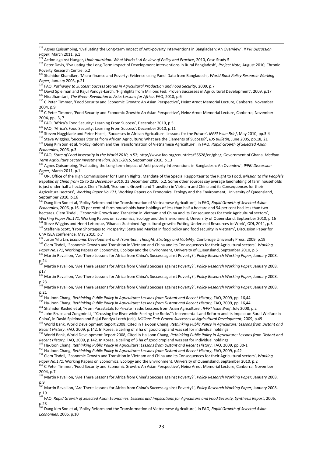<sup>125</sup> Peter Davis, 'Evaluating the Long-Term Impact of Development Interventions in Rural Bangladesh', *Project Note*, August 2010, Chronic Poverty Research Centre, p.2

<sup>126</sup> Shahidur Khandker, 'Micro-finance and Poverty: Evidence using Panel Data from Bangladesh', *World Bank Policy Research Working Paper*, January 2003, p.21

<sup>128</sup> David Spielman and Rajul Pandya-Lorch, 'Highlights from Millions Fed: Proven Successes in Agricultural Development', 2009, p.17 <sup>129</sup> Hira Jhamtani, *The Green Revolution in Asia: Lessons for Africa*, FAO, 2010, p.6

<sup>130</sup> C.Peter Timmer, 'Food Security and Economic Growth: An Asian Perspective', Heinz Arndt Memorial Lecture, Canberra, November 2004, p.9

<sup>131</sup> C.Peter Timmer, 'Food Security and Economic Growth: An Asian Perspective', Heinz Arndt Memorial Lecture, Canberra, November 2004, pp., 3, 7

<sup>132</sup> FAO, 'Africa's Food Security: Learning From Success', December 2010, p.5

<sup>133</sup> FAO, 'Africa's Food Security: Learning From Success', December 2010, p.11

<sup>134</sup> Steven Haggblade and Peter Hazell, 'Successes in African Agriculture: Lessons for the Future', *IFPRI Issue Brief*, May 2010, pp.3-4

<sup>135</sup> Steve Wiggins, 'Success Stories from African Agriculture: What are the Elements of Success?', *IDS Bulletin*, June 2005, pp.18, 21 <sup>136</sup> Dang Kim Son et al, 'Policy Reform and the Transformation of Vietnamese Agriculture', in FAO, *Rapid Growth of Selected Asian Economies*, 2006, p.3

<sup>137</sup> FAO, *State of Food Insecurity in the World 2010*, p.52[; http://www.fao.org/countries/55528/en/gha/;](http://www.fao.org/countries/55528/en/gha/) Government of Ghana, *Medium Term Agriculture Sector Investment Plan, 2011-2015*, September 2010, p.13

<sup>138</sup> Agnes Quisumbing, 'Evaluating the Long-term Impact of Anti-poverty Interventions in Bangladesh: An Overview', *IFPRI Discussion Paper*, March 2011, p.1

<sup>139</sup> UN, Office of the High Commissioner for Human Rights, Mandate of the Special Rapporteur to the Right to Food, *Mission to the People's Republic of China from 15 to 23 December 2010*, 23 December 2010, p.2. Some other sources say average landholding of farm households is just under half a hectare. Clem Tisdell, 'Economic Growth and Transition in Vietnam and China and its Consequences for their Agricultural sectors', *Working Paper No.171*, Working Papers on Economics, Ecology and the Environment, University of Queensland, September 2010, p.16

<sup>140</sup> Dang Kim Son et al, 'Policy Reform and the Transformation of Vietnamese Agriculture', in FAO, *Rapid Growth of Selected Asian Economies*, 2006, p.16. 69 per cent of farm households have holdings of less than half a hectare and 94 per cent had less than two hectares. Clem Tisdell, 'Economic Growth and Transition in Vietnam and China and its Consequences for their Agricultural sectors'. *Working Paper No.171*, Working Papers on Economics, Ecology and the Environment, University of Queensland, September 2010, p.16

<sup>141</sup> Steve Wiggins and Henri Leturque, 'Ghana's Sustained Agricultural growth: Putting Underused Resources to Work', ODI, 2011, p.3 <sup>142</sup> Steffanie Scott, 'From Shortages to Prosperity: State and Market in food policy and food security in Vietnam', Discussion Paper for ChATSEA conference, May 2010, p.7

<sup>143</sup> Justin Yifu Lin, *Economic Development and Transition: Thought, Strategy and Viability*, Cambridge University Press, 2009, p.19 <sup>144</sup> Clem Tisdell, 'Economic Growth and Transition in Vietnam and China and its Consequences for their Agricultural sectors', *Working* 

*Paper No.171*, Working Papers on Economics, Ecology and the Environment, University of Queensland, September 2010, p.5 <sup>i</sup> Martin Ravallion, 'Are There Lessons for Africa from China's Success against Poverty?', *Policy Research Working Paper*, January 2008,

p.24

<u>.</u>

<sup>146</sup> Martin Ravallion, 'Are There Lessons for Africa from China's Success against Poverty?', *Policy Research Working Paper*, January 2008, p17

<sup>147</sup> Martin Ravallion, 'Are There Lessons for Africa from China's Success against Poverty?', *Policy Research Working Paper*, January 2008, p.23

<sup>148</sup> Martin Ravallion, 'Are There Lessons for Africa from China's Success against Poverty?', *Policy Research Working Paper*, January 2008, p.21

<sup>149</sup> Ha-Joon Chang, *Rethinking Public Policy in Agriculture: Lessons from Distant and Recent History*, FAO, 2009, pp. 16,44

<sup>150</sup> Ha-Joon Chang, *Rethinking Public Policy in Agriculture: Lessons from Distant and Recent History*, FAO, 2009, pp. 16,44

<sup>151</sup> Shahidur Rashid et al, 'From Parastatals to Private Trade: Lessons from Asian Agriculture', *IFPRI Issue Brief*, July 2008, p.2

<sup>152</sup> John Bruce and Zongmin Li, ""Crossing the River while Feeling the Rocks"': Incremental Land Reform and its Impact on Rural Welfare in China', in David Spielman and Rajul Pandya-Lorch (eds), *Millions Fed: Proven Successes in Agricultural Development*, 2009, p.49

<sup>153</sup> World Bank, World Development Report 2008, Cited in Ha-Joon Chang, *Rethinking Public Policy in Agriculture: Lessons from Distant and Recent History*, FAO, 2009, p.142. In Korea, a ceiling of 3 ha of good cropland was set for individual holdings

<sup>154</sup> World Bank, World Development Report 2008, Cited in Ha-Joon Chang, *Rethinking Public Policy in Agriculture: Lessons from Distant and Recent History*, FAO, 2009, p.142. In Korea, a ceiling of 3 ha of good cropland was set for individual holdings

<sup>155</sup> Ha-Joon Chang, *Rethinking Public Policy in Agriculture: Lessons from Distant and Recent History*, FAO, 2009, pp.30-1

156 Ha-Joon Chang, *Rethinking Public Policy in Agriculture: Lessons from Distant and Recent History*, FAO, 2009, p.42

<sup>157</sup> Clem Tisdell, 'Economic Growth and Transition in Vietnam and China and its Consequences for their Agricultural sectors', *Working* 

*Paper No.171*, Working Papers on Economics, Ecology and the Environment, University of Queensland, September 2010, p.2 <sup>158</sup> C.Peter Timmer, 'Food Security and Economic Growth: An Asian Perspective', Heinz Arndt Memorial Lecture, Canberra, November

2004, p.7

<sup>159</sup> Martin Ravallion, 'Are There Lessons for Africa from China's Success against Poverty?', *Policy Research Working Paper*, January 2008, p.9

<sup>160</sup> Martin Ravallion, 'Are There Lessons for Africa from China's Success against Poverty?', *Policy Research Working Paper*, January 2008, p.19

<sup>161</sup> FAO, *Rapid Growth of Selected Asian Economies: Lessons and Implications for Agriculture and Food Security, Synthesis Report*, 2006, p.23

<sup>162</sup> Dang Kim Son et al, 'Policy Reform and the Transformation of Vietnamese Agriculture', in FAO, *Rapid Growth of Selected Asian Economies*, 2006, p.10

<sup>123</sup> Agnes Quisumbing, 'Evaluating the Long-term Impact of Anti-poverty Interventions in Bangladesh: An Overview', *IFPRI Discussion Paper*, March 2011, p.1

<sup>&</sup>lt;sup>1</sup> Action against Hunger, *Undernutrition: What Works?: A Review of Policy and Practice*, 2010, Case Study 5

<sup>127</sup> FAO, *Pathways to Success: Success Stories in Agricultural Production and Food Security*, 2009, p.7